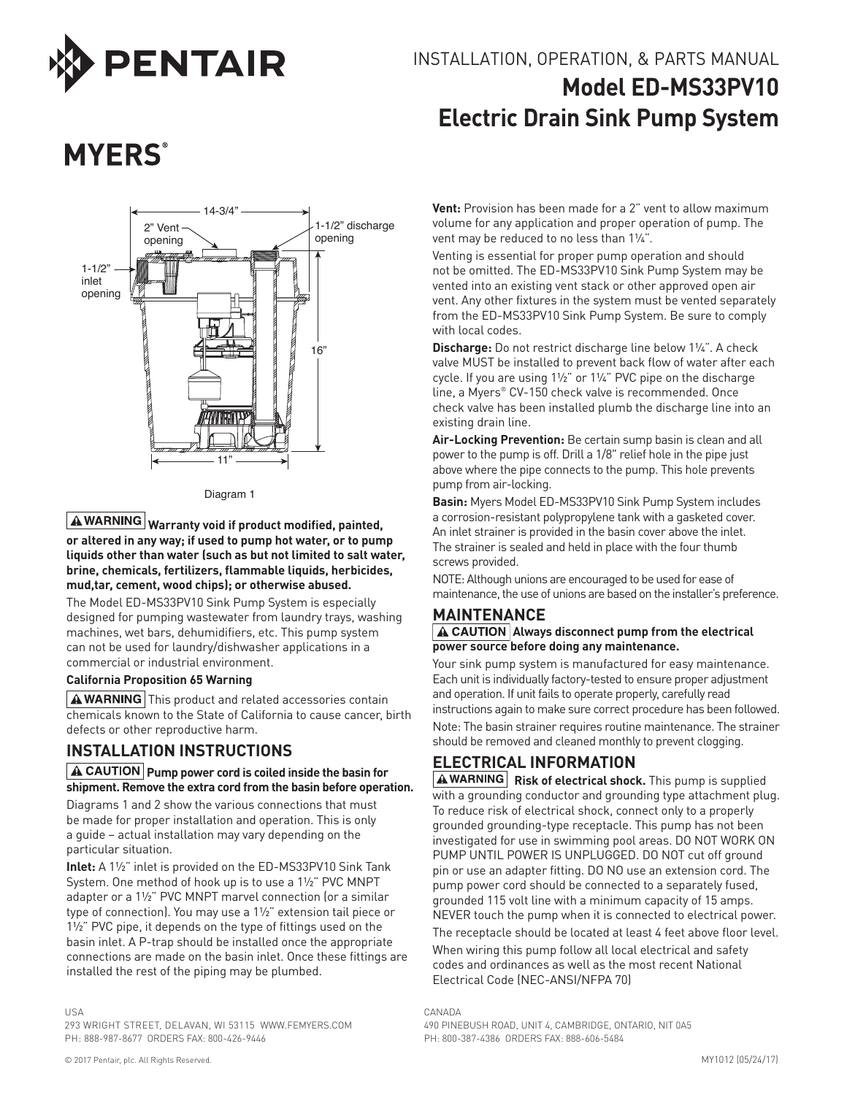

## INSTALLATION, OPERATION, & PARTS MANUAL **Model ED-MS33PV10 Electric Drain Sink Pump System**

# **MYERS**<sup>®</sup>



Diagram 1

**Warranty void if product modified, painted,**  or altered in any way; if used to pump hot water, or to pump **liquids other than water (such as but not limited to salt water, brine, chemicals, fertilizers, flammable liquids, herbicides, mud,tar, cement, wood chips); or otherwise abused.**

The Model ED-MS33PV10 Sink Pump System is especially designed for pumping wastewater from laundry trays, washing machines, wet bars, dehumidifiers, etc. This pump system can not be used for laundry/dishwasher applications in a commercial or industrial environment.

#### **California Proposition 65 Warning**

 $A$  WARNING This product and related accessories contain chemicals known to the State of California to cause cancer, birth defects or other reproductive harm.

#### **INSTALLATION INSTRUCTIONS**

#### **A** CAUTION Pump power cord is coiled inside the basin for **shipment. Remove the extra cord from the basin before operation.**

Diagrams 1 and 2 show the various connections that must be made for proper installation and operation. This is only a guide – actual installation may vary depending on the particular situation.

**Inlet:** A 1½" inlet is provided on the ED-MS33PV10 Sink Tank System. One method of hook up is to use a 1½" PVC MNPT adapter or a 1½" PVC MNPT marvel connection (or a similar type of connection). You may use a 1½" extension tail piece or 1½" PVC pipe, it depends on the type of fittings used on the basin inlet. A P-trap should be installed once the appropriate connections are made on the basin inlet. Once these fittings are installed the rest of the piping may be plumbed.

**Vent:** Provision has been made for a 2" vent to allow maximum volume for any application and proper operation of pump. The vent may be reduced to no less than 1¼".

Venting is essential for proper pump operation and should not be omitted. The ED-MS33PV10 Sink Pump System may be vented into an existing vent stack or other approved open air vent. Any other fixtures in the system must be vented separately from the ED-MS33PV10 Sink Pump System. Be sure to comply with local codes.

**Discharge:** Do not restrict discharge line below 1¼". A check valve MUST be installed to prevent back flow of water after each cycle. If you are using 1½" or 1¼" PVC pipe on the discharge line, a Myers® CV-150 check valve is recommended. Once check valve has been installed plumb the discharge line into an existing drain line.

**Air-Locking Prevention:** Be certain sump basin is clean and all power to the pump is off. Drill a 1/8" relief hole in the pipe just above where the pipe connects to the pump. This hole prevents pump from air-locking.

**Basin:** Myers Model ED-MS33PV10 Sink Pump System includes a corrosion-resistant polypropylene tank with a gasketed cover. An inlet strainer is provided in the basin cover above the inlet. The strainer is sealed and held in place with the four thumb screws provided.

NOTE: Although unions are encouraged to be used for ease of maintenance, the use of unions are based on the installer's preference.

#### **MAINTENANCE**

#### **A** CAUTION Always disconnect pump from the electrical **power source before doing any maintenance.**

Your sink pump system is manufactured for easy maintenance. Each unit is individually factory-tested to ensure proper adjustment and operation. If unit fails to operate properly, carefully read instructions again to make sure correct procedure has been followed. Note: The basin strainer requires routine maintenance. The strainer should be removed and cleaned monthly to prevent clogging.

### **ELECTRICAL INFORMATION**

**A WARNING** Risk of electrical shock. This pump is supplied with a grounding conductor and grounding type attachment plug. To reduce risk of electrical shock, connect only to a properly grounded grounding-type receptacle. This pump has not been investigated for use in swimming pool areas. DO NOT WORK ON PUMP UNTIL POWER IS UNPLUGGED. DO NOT cut off ground pin or use an adapter fitting. DO NO use an extension cord. The pump power cord should be connected to a separately fused, grounded 115 volt line with a minimum capacity of 15 amps. NEVER touch the pump when it is connected to electrical power. The receptacle should be located at least 4 feet above floor level. When wiring this pump follow all local electrical and safety codes and ordinances as well as the most recent National Electrical Code (NEC-ANSI/NFPA 70)

293 WRIGHT STREET, DELAVAN, WI 53115 WWW.FEMYERS.COM PH: 888-987-8677 ORDERS FAX: 800-426-9446

CANADA 490 PINEBUSH ROAD, UNIT 4, CAMBRIDGE, ONTARIO, NIT 0A5 PH: 800-387-4386 ORDERS FAX: 888-606-5484

USA